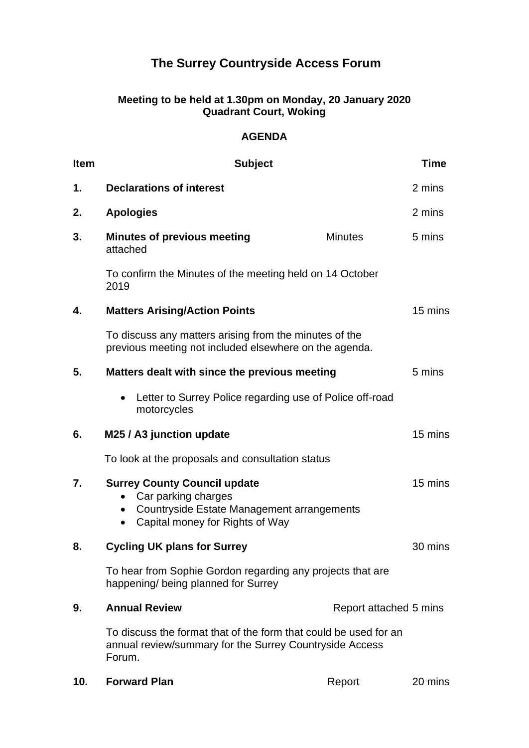## **The Surrey Countryside Access Forum**

## **Meeting to be held at 1.30pm on Monday, 20 January 2020 Quadrant Court, Woking**

## **AGENDA**

| <b>Item</b>   | <b>Subject</b>                                                                                                                                                        |                        | <b>Time</b> |
|---------------|-----------------------------------------------------------------------------------------------------------------------------------------------------------------------|------------------------|-------------|
| $\mathbf 1$ . | <b>Declarations of interest</b>                                                                                                                                       |                        | 2 mins      |
| 2.            | <b>Apologies</b>                                                                                                                                                      |                        | 2 mins      |
| 3.            | <b>Minutes of previous meeting</b><br>attached                                                                                                                        | <b>Minutes</b>         | 5 mins      |
|               | To confirm the Minutes of the meeting held on 14 October<br>2019                                                                                                      |                        |             |
| 4.            | <b>Matters Arising/Action Points</b>                                                                                                                                  |                        | 15 mins     |
|               | To discuss any matters arising from the minutes of the<br>previous meeting not included elsewhere on the agenda.                                                      |                        |             |
| 5.            | Matters dealt with since the previous meeting                                                                                                                         |                        | 5 mins      |
|               | Letter to Surrey Police regarding use of Police off-road<br>$\bullet$<br>motorcycles                                                                                  |                        |             |
| 6.            | M25 / A3 junction update                                                                                                                                              |                        | 15 mins     |
|               | To look at the proposals and consultation status                                                                                                                      |                        |             |
| 7.            | <b>Surrey County Council update</b><br>Car parking charges<br>Countryside Estate Management arrangements<br>$\bullet$<br>Capital money for Rights of Way<br>$\bullet$ |                        | 15 mins     |
| 8.            | <b>Cycling UK plans for Surrey</b>                                                                                                                                    |                        | 30 mins     |
|               | To hear from Sophie Gordon regarding any projects that are<br>happening/ being planned for Surrey                                                                     |                        |             |
| 9.            | <b>Annual Review</b>                                                                                                                                                  | Report attached 5 mins |             |
|               | To discuss the format that of the form that could be used for an<br>annual review/summary for the Surrey Countryside Access<br>Forum.                                 |                        |             |

**10. Forward Plan** Report 20 mins